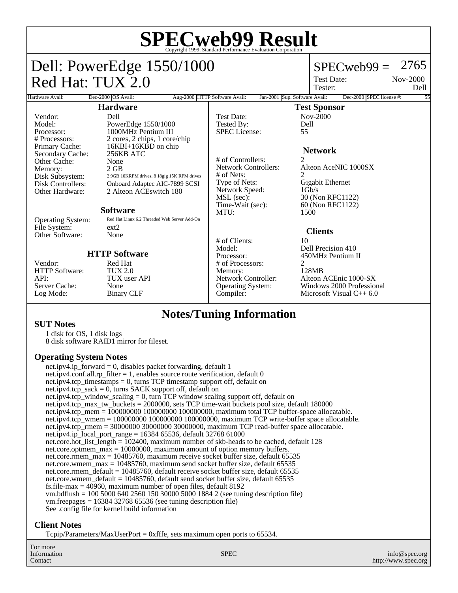# **SPECweb99 Result** Copyright 1999, Standard Performance Evaluation Corporation

## Dell: PowerEdge 1550/1000 Red Hat: TUX 2.0

## $SPECweb99 = 2765$

Test Date: Tester:

Nov-2000 Dell

#### Hardware Avail: Dec-2000 OS Avail: Aug-2000 HTTP Software Avail: Jan-2001 Sup. Software Avail: Dec-2000 SPEC license #: **Hardware** Vendor: Dell<br>Model: Powe Model: PowerEdge 1550/1000<br>Processor: 1000MHz Pentium III Processor: 1000MHz Pentium III<br>
# Processors: 2 cores, 2 chips, 1 core 2 cores, 2 chips, 1 core/chip Primary Cache: 16KBI+16KBD on chip<br>Secondary Cache: 256KB ATC Secondary Cache: Other Cache: None<br>
Memory: 2 GB Memory:<br>Disk Subsystem: Disk Subsystem: 29GB 10KRPM drives, 8 18gig 15K RPM drives<br>Disk Controllers: Onboard Adaptec AIC-7899 SCSI Onboard Adaptec AIC-7899 SCSI Other Hardware: 2 Alteon ACEswitch 180 **Software** Operating System: Red Hat Linux 6.2 Threaded Web Server Add-On<br>File System: ext2 File System: ext2<br>Other Software: None Other Software: **HTTP Software** Vendor: Red Hat<br>HTTP Software: TUX 2.0 HTTP Software: API: TUX user API Server Cache: None<br>
Log Mode: Binar Binary CLF **Test Sponsor** Test Date: Nov-2000<br>Tested By: Dell Tested By: De<br>SPEC License: 55 SPEC License: **Network** # of Controllers: 2 Alteon AceNIC 1000SX # of Nets:<br>Type of Nets: Gigabit Ethernet<br>1Gb/s Network Speed:<br>MSL (sec): MSL (sec): 30 (Non RFC1122)<br>Time-Wait (sec): 60 (Non RFC1122) 60 (Non RFC1122) MTU: 1500 **Clients** # of Clients: 10 Model: Dell Precision 410<br>Processor: 450MHz Pentium 1 450MHz Pentium II # of Processors: 2<br>Memory: 2128MB Memory:<br>Network Controller: Alteon ACEnic 1000-SX Operating System: Windows 2000 Professional Compiler: Microsoft Visual C++ 6.0

## **Notes/Tuning Information**

#### **SUT Notes**

1 disk for OS, 1 disk logs 8 disk software RAID1 mirror for fileset.

#### **Operating System Notes**

net.ipv4.ip\_forward = 0, disables packet forwarding, default 1 net.ipv4.conf.all.rp\_filter = 1, enables source route verification, default 0 net.ipv4.tcp\_timestamps  $= 0$ , turns TCP timestamp support off, default on net.ipv4.tcp\_sack  $= 0$ , turns SACK support off, default on net.ipv4.tcp\_window\_scaling = 0, turn TCP window scaling support off, default on net.ipv4.tcp\_max\_tw\_buckets = 2000000, sets TCP time-wait buckets pool size, default 180000 net.ipv4.tcp\_mem = 100000000 100000000 100000000, maximum total TCP buffer-space allocatable. net.ipv4.tcp\_wmem = 100000000 100000000 100000000, maximum TCP write-buffer space allocatable. net.ipv4.tcp\_rmem = 30000000 30000000 30000000, maximum TCP read-buffer space allocatable. net.ipv4.ip\_local\_port\_range = 16384 65536, default 32768 61000 net.core.hot\_list\_length = 102400, maximum number of skb-heads to be cached, default 128 net.core.optmem\_max = 10000000, maximum amount of option memory buffers. net.core.rmem\_max = 10485760, maximum receive socket buffer size, default 65535 net.core.wmem\_max = 10485760, maximum send socket buffer size, default 65535 net.core.rmem\_default = 10485760, default receive socket buffer size, default 65535 net.core.wmem\_default = 10485760, default send socket buffer size, default 65535 fs.file-max  $=$  40960, maximum number of open files, default 8192 vm.bdflush = 100 5000 640 2560 150 30000 5000 1884 2 (see tuning description file) vm.freepages = 16384 32768 65536 (see tuning description file) See .config file for kernel build information

### **Client Notes**

Tcpip/Parameters/MaxUserPort = 0xfffe, sets maximum open ports to 65534.